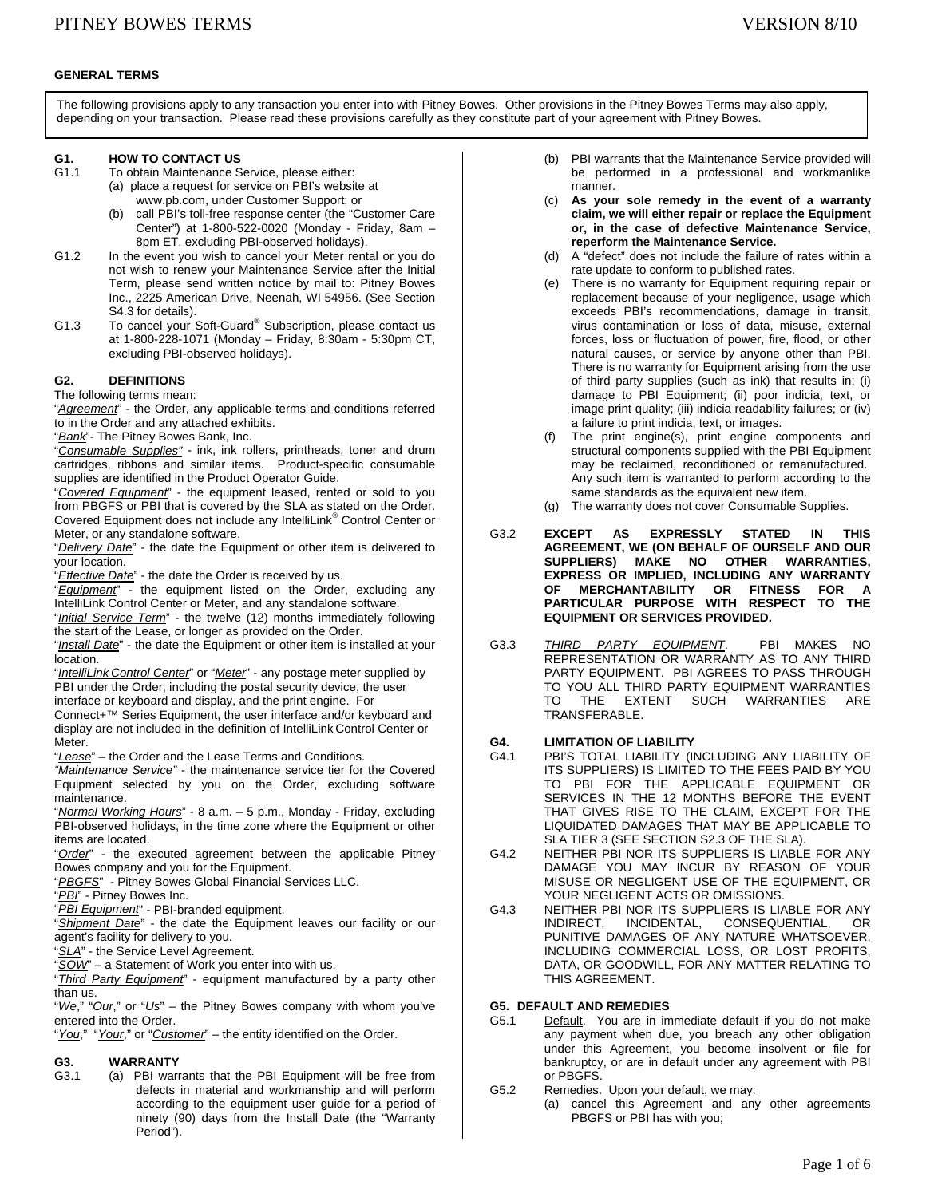## **GENERAL TERMS**

The following provisions apply to any transaction you enter into with Pitney Bowes. Other provisions in the Pitney Bowes Terms may also apply, depending on your transaction. Please read these provisions carefully as they constitute part of your agreement with Pitney Bowes.

## **G1. HOW TO CONTACT US**<br>G1.1 To obtain Maintenance S

- To obtain Maintenance Service, please either: (a) place a request for service on PBI's website at www.pb.com, under Customer Support; or
	- (b) call PBI's toll-free response center (the "Customer Care Center") at 1-800-522-0020 (Monday - Friday, 8am – 8pm ET, excluding PBI-observed holidays).
- G1.2 In the event you wish to cancel your Meter rental or you do not wish to renew your Maintenance Service after the Initial Term, please send written notice by mail to: Pitney Bowes Inc., 2225 American Drive, Neenah, WI 54956. (See Section S4.3 for details).
- G1.3 To cancel your Soft-Guard<sup>®</sup> Subscription, please contact us at 1-800-228-1071 (Monday – Friday, 8:30am - 5:30pm CT, excluding PBI-observed holidays).

### **G2. DEFINITIONS**

The following terms mean:

"*Agreement*" - the Order, any applicable terms and conditions referred to in the Order and any attached exhibits.

"*Bank*"- The Pitney Bowes Bank, Inc.

"*Consumable Supplies"* - ink, ink rollers, printheads, toner and drum cartridges, ribbons and similar items. Product-specific consumable supplies are identified in the Product Operator Guide.

"*Covered Equipment*" - the equipment leased, rented or sold to you from PBGFS or PBI that is covered by the SLA as stated on the Order. Covered Equipment does not include any IntelliLink® Control Center or Meter, or any standalone software.

"*Delivery Date*" - the date the Equipment or other item is delivered to your location.

"*Effective Date*" - the date the Order is received by us.

"*Equipment*" - the equipment listed on the Order, excluding any IntelliLink Control Center or Meter, and any standalone software.

"*Initial Service Term*" - the twelve (12) months immediately following the start of the Lease, or longer as provided on the Order.

"*Install Date*" - the date the Equipment or other item is installed at your location.

"*IntelliLink Control Center*" or "*Meter*" - any postage meter supplied by PBI under the Order, including the postal security device, the user interface or keyboard and display, and the print engine. For

Connect+™ Series Equipment, the user interface and/or keyboard and display are not included in the definition of IntelliLink Control Center or Meter.

"*Lease*" – the Order and the Lease Terms and Conditions.

*"Maintenance Service"* - the maintenance service tier for the Covered Equipment selected by you on the Order, excluding software maintenance.

"*Normal Working Hours*" - 8 a.m. – 5 p.m., Monday - Friday, excluding PBI-observed holidays, in the time zone where the Equipment or other items are located.

"*Order*" - the executed agreement between the applicable Pitney Bowes company and you for the Equipment.

"*PBGFS*" - Pitney Bowes Global Financial Services LLC.

"*PBI*" - Pitney Bowes Inc.

"*PBI Equipment*" - PBI-branded equipment.

"*Shipment Date*" - the date the Equipment leaves our facility or our agent's facility for delivery to you.

"*SLA*" - the Service Level Agreement.

"*SOW*" – a Statement of Work you enter into with us.

"*Third Party Equipment*" - equipment manufactured by a party other than us.

"*We*," "*Our*," or "*Us*" – the Pitney Bowes company with whom you've entered into the Order.

"*You*," "*Your*," or "*Customer*" – the entity identified on the Order.

## **G3. WARRANTY**

G3.1 (a) PBI warrants that the PBI Equipment will be free from defects in material and workmanship and will perform according to the equipment user guide for a period of ninety (90) days from the Install Date (the "Warranty Period").

- (b) PBI warrants that the Maintenance Service provided will be performed in a professional and workmanlike manner.
- (c) **As your sole remedy in the event of a warranty claim, we will either repair or replace the Equipment or, in the case of defective Maintenance Service, reperform the Maintenance Service.**
- (d) A "defect" does not include the failure of rates within a rate update to conform to published rates.
- (e) There is no warranty for Equipment requiring repair or replacement because of your negligence, usage which exceeds PBI's recommendations, damage in transit, virus contamination or loss of data, misuse, external forces, loss or fluctuation of power, fire, flood, or other natural causes, or service by anyone other than PBI. There is no warranty for Equipment arising from the use of third party supplies (such as ink) that results in: (i) damage to PBI Equipment; (ii) poor indicia, text, or image print quality; (iii) indicia readability failures; or (iv) a failure to print indicia, text, or images.
- (f) The print engine(s), print engine components and structural components supplied with the PBI Equipment may be reclaimed, reconditioned or remanufactured. Any such item is warranted to perform according to the same standards as the equivalent new item.
- (g) The warranty does not cover Consumable Supplies.
- G3.2 **EXCEPT AS EXPRESSLY STATED IN THIS AGREEMENT, WE (ON BEHALF OF OURSELF AND OUR SUPPLIERS) MAKE NO OTHER WARRANTIES, EXPRESS OR IMPLIED, INCLUDING ANY WARRANTY OF MERCHANTABILITY OR FITNESS FOR A PARTICULAR PURPOSE WITH RESPECT TO THE EQUIPMENT OR SERVICES PROVIDED.**
- G3.3 *THIRD PARTY EQUIPMENT*. PBI MAKES NO REPRESENTATION OR WARRANTY AS TO ANY THIRD PARTY EQUIPMENT. PBI AGREES TO PASS THROUGH TO YOU ALL THIRD PARTY EQUIPMENT WARRANTIES TO THE EXTENT SUCH WARRANTIES ARE TRANSFERABLE.

## **G4. LIMITATION OF LIABILITY**

- PBI'S TOTAL LIABILITY (INCLUDING ANY LIABILITY OF ITS SUPPLIERS) IS LIMITED TO THE FEES PAID BY YOU TO PBI FOR THE APPLICABLE EQUIPMENT OR SERVICES IN THE 12 MONTHS BEFORE THE EVENT THAT GIVES RISE TO THE CLAIM, EXCEPT FOR THE LIQUIDATED DAMAGES THAT MAY BE APPLICABLE TO SLA TIER 3 (SEE SECTION S2.3 OF THE SLA).
- G4.2 NEITHER PBI NOR ITS SUPPLIERS IS LIABLE FOR ANY DAMAGE YOU MAY INCUR BY REASON OF YOUR MISUSE OR NEGLIGENT USE OF THE EQUIPMENT, OR YOUR NEGLIGENT ACTS OR OMISSIONS.
- G4.3 NEITHER PBI NOR ITS SUPPLIERS IS LIABLE FOR ANY INDIRECT, INCIDENTAL, CONSEQUENTIAL, OR PUNITIVE DAMAGES OF ANY NATURE WHATSOEVER, INCLUDING COMMERCIAL LOSS, OR LOST PROFITS, DATA, OR GOODWILL, FOR ANY MATTER RELATING TO THIS AGREEMENT.

## **G5. DEFAULT AND REMEDIES**

- G5.1 Default. You are in immediate default if you do not make any payment when due, you breach any other obligation under this Agreement, you become insolvent or file for bankruptcy, or are in default under any agreement with PBI or PBGFS.
- G5.2 Remedies. Upon your default, we may:
	- (a) cancel this Agreement and any other agreements PBGFS or PBI has with you;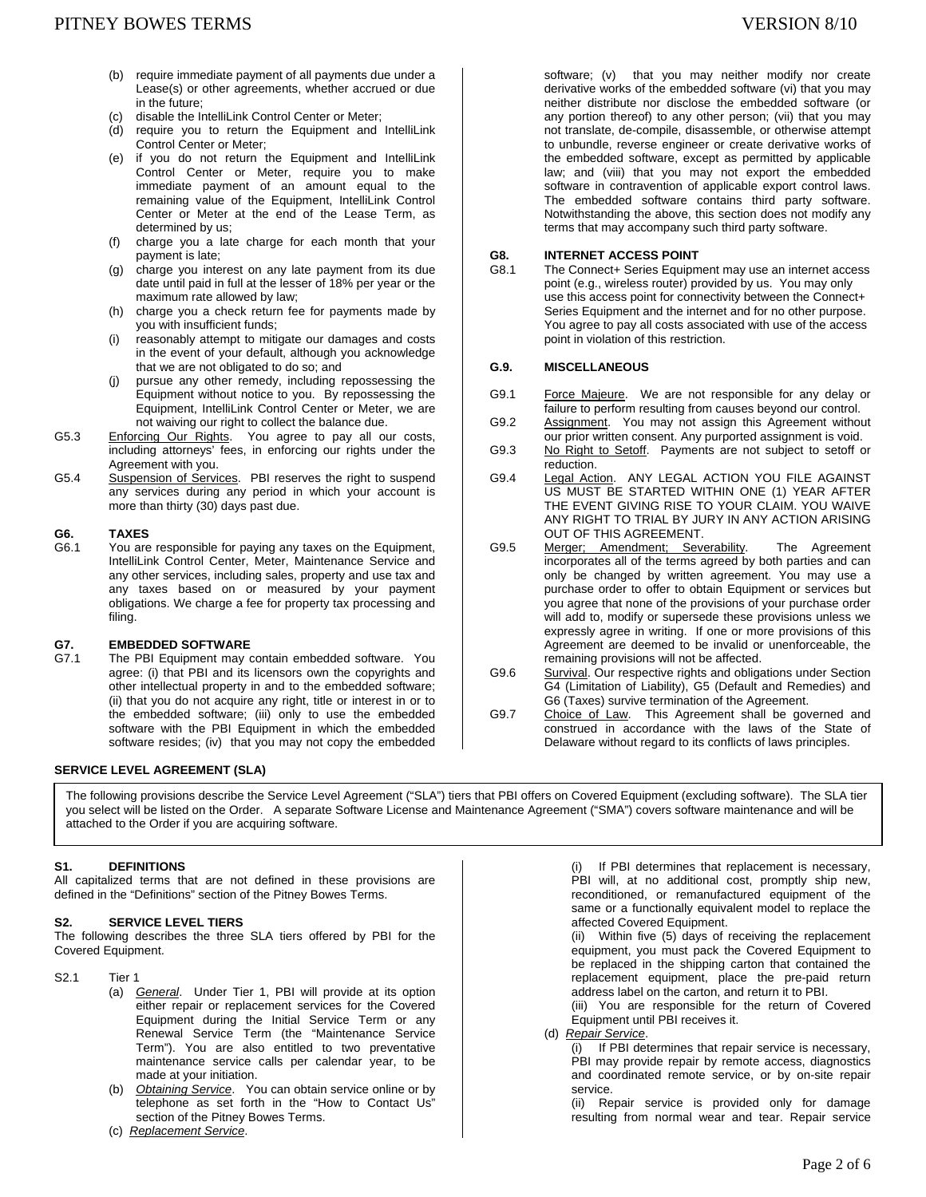- (b) require immediate payment of all payments due under a Lease(s) or other agreements, whether accrued or due in the future;
- (c) disable the IntelliLink Control Center or Meter;
- (d) require you to return the Equipment and IntelliLink Control Center or Meter;
- (e) if you do not return the Equipment and IntelliLink Control Center or Meter, require you to make immediate payment of an amount equal to the remaining value of the Equipment, IntelliLink Control Center or Meter at the end of the Lease Term, as determined by us;
- (f) charge you a late charge for each month that your payment is late;
- (g) charge you interest on any late payment from its due date until paid in full at the lesser of 18% per year or the maximum rate allowed by law;
- (h) charge you a check return fee for payments made by you with insufficient funds;
- (i) reasonably attempt to mitigate our damages and costs in the event of your default, although you acknowledge that we are not obligated to do so; and
- (j) pursue any other remedy, including repossessing the Equipment without notice to you. By repossessing the Equipment, IntelliLink Control Center or Meter, we are not waiving our right to collect the balance due.
- G5.3 Enforcing Our Rights. You agree to pay all our costs, including attorneys' fees, in enforcing our rights under the Agreement with you.
- G5.4 Suspension of Services. PBI reserves the right to suspend any services during any period in which your account is more than thirty (30) days past due.

## G6. **TAXES**<br>G6.1 You are

You are responsible for paying any taxes on the Equipment, IntelliLink Control Center, Meter, Maintenance Service and any other services, including sales, property and use tax and any taxes based on or measured by your payment obligations. We charge a fee for property tax processing and filing.

#### **G7. EMBEDDED SOFTWARE**

G7.1 The PBI Equipment may contain embedded software. You agree: (i) that PBI and its licensors own the copyrights and other intellectual property in and to the embedded software; (ii) that you do not acquire any right, title or interest in or to the embedded software; (iii) only to use the embedded software with the PBI Equipment in which the embedded software resides; (iv) that you may not copy the embedded

#### **SERVICE LEVEL AGREEMENT (SLA)**

The following provisions describe the Service Level Agreement ("SLA") tiers that PBI offers on Covered Equipment (excluding software). The SLA tier you select will be listed on the Order. A separate Software License and Maintenance Agreement ("SMA") covers software maintenance and will be attached to the Order if you are acquiring software.

## **S1. DEFINITIONS**

All capitalized terms that are not defined in these provisions are defined in the "Definitions" section of the Pitney Bowes Terms.

#### **S2. SERVICE LEVEL TIERS**

The following describes the three SLA tiers offered by PBI for the Covered Equipment.

S2.1 Tier 1

- (a) *General*. Under Tier 1, PBI will provide at its option either repair or replacement services for the Covered Equipment during the Initial Service Term or any Renewal Service Term (the "Maintenance Service Term"). You are also entitled to two preventative maintenance service calls per calendar year, to be made at your initiation.
- (b) *Obtaining Service*. You can obtain service online or by telephone as set forth in the "How to Contact Us" section of the Pitney Bowes Terms.
- (c) *Replacement Service*.

software; (v) that you may neither modify nor create derivative works of the embedded software (vi) that you may neither distribute nor disclose the embedded software (or any portion thereof) to any other person; (vii) that you may not translate, de-compile, disassemble, or otherwise attempt to unbundle, reverse engineer or create derivative works of the embedded software, except as permitted by applicable law; and (viii) that you may not export the embedded software in contravention of applicable export control laws. The embedded software contains third party software. Notwithstanding the above, this section does not modify any terms that may accompany such third party software.

#### **G8. INTERNET ACCESS POINT**

G8.1 The Connect+ Series Equipment may use an internet access point (e.g., wireless router) provided by us. You may only use this access point for connectivity between the Connect+ Series Equipment and the internet and for no other purpose. You agree to pay all costs associated with use of the access point in violation of this restriction.

#### **G.9. MISCELLANEOUS**

- G9.1 Force Majeure. We are not responsible for any delay or failure to perform resulting from causes beyond our control.
- G9.2 Assignment. You may not assign this Agreement without our prior written consent. Any purported assignment is void.
- G9.3 No Right to Setoff. Payments are not subject to setoff or reduction.
- G9.4 Legal Action. ANY LEGAL ACTION YOU FILE AGAINST US MUST BE STARTED WITHIN ONE (1) YEAR AFTER THE EVENT GIVING RISE TO YOUR CLAIM. YOU WAIVE ANY RIGHT TO TRIAL BY JURY IN ANY ACTION ARISING OUT OF THIS AGREEMENT.
- G9.5 Merger; Amendment; Severability. The Agreement incorporates all of the terms agreed by both parties and can only be changed by written agreement. You may use a purchase order to offer to obtain Equipment or services but you agree that none of the provisions of your purchase order will add to, modify or supersede these provisions unless we expressly agree in writing. If one or more provisions of this Agreement are deemed to be invalid or unenforceable, the remaining provisions will not be affected.
- G9.6 Survival. Our respective rights and obligations under Section G4 (Limitation of Liability), G5 (Default and Remedies) and G6 (Taxes) survive termination of the Agreement.
- G9.7 Choice of Law. This Agreement shall be governed and construed in accordance with the laws of the State of Delaware without regard to its conflicts of laws principles.

(i) If PBI determines that replacement is necessary, PBI will, at no additional cost, promptly ship new, reconditioned, or remanufactured equipment of the same or a functionally equivalent model to replace the affected Covered Equipment.

(ii) Within five (5) days of receiving the replacement equipment, you must pack the Covered Equipment to be replaced in the shipping carton that contained the replacement equipment, place the pre-paid return address label on the carton, and return it to PBI.

(iii) You are responsible for the return of Covered Equipment until PBI receives it.

(d) *Repair Service*.

(i) If PBI determines that repair service is necessary, PBI may provide repair by remote access, diagnostics and coordinated remote service, or by on-site repair service.

(ii) Repair service is provided only for damage resulting from normal wear and tear. Repair service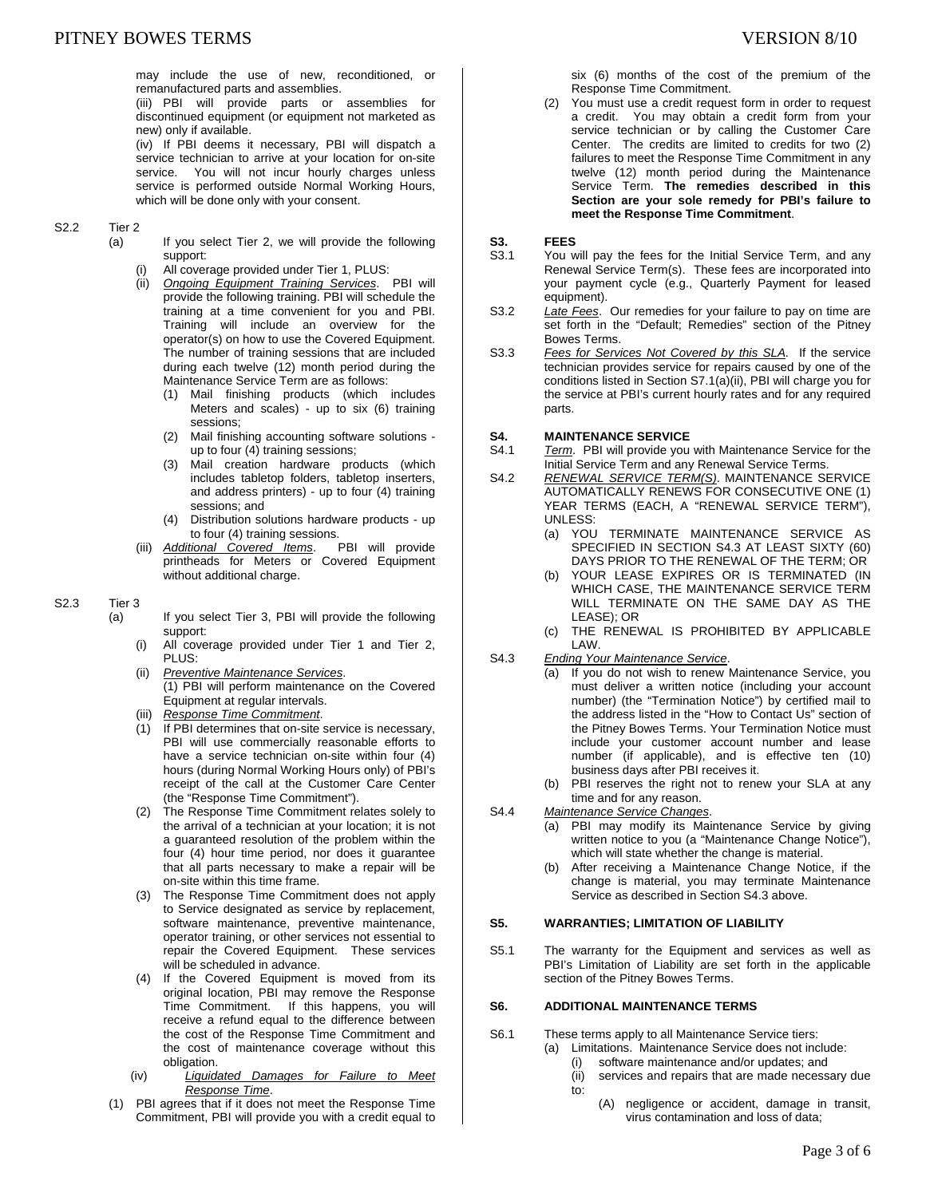may include the use of new, reconditioned, or remanufactured parts and assemblies.

(iii) PBI will provide parts or assemblies for discontinued equipment (or equipment not marketed as new) only if available.

(iv) If PBI deems it necessary, PBI will dispatch a service technician to arrive at your location for on-site service. You will not incur hourly charges unless service is performed outside Normal Working Hours, which will be done only with your consent.

### S2.2 Tier 2

- (a) If you select Tier 2, we will provide the following support:
	- All coverage provided under Tier 1, PLUS:
	- (ii) *Ongoing Equipment Training Services*. PBI will provide the following training. PBI will schedule the training at a time convenient for you and PBI. Training will include an overview for the operator(s) on how to use the Covered Equipment. The number of training sessions that are included during each twelve (12) month period during the Maintenance Service Term are as follows:
		- (1) Mail finishing products (which includes Meters and scales) - up to six (6) training sessions;
		- (2) Mail finishing accounting software solutions up to four (4) training sessions;
		- (3) Mail creation hardware products (which includes tabletop folders, tabletop inserters, and address printers) - up to four (4) training sessions; and
		- (4) Distribution solutions hardware products up to four (4) training sessions.<br>tional Covered Items. PBI will provide
	- (iii) **Additional Covered Items.** printheads for Meters or Covered Equipment without additional charge.

#### S2.3 Tier 3

- (a) If you select Tier 3, PBI will provide the following support:
	- (i) All coverage provided under Tier 1 and Tier 2, PLUS:
	- (ii) *Preventive Maintenance Services*. (1) PBI will perform maintenance on the Covered Equipment at regular intervals.
	- (iii) *Response Time Commitment*.
	- (1) If PBI determines that on-site service is necessary, PBI will use commercially reasonable efforts to have a service technician on-site within four (4) hours (during Normal Working Hours only) of PBI's receipt of the call at the Customer Care Center (the "Response Time Commitment").
	- (2) The Response Time Commitment relates solely to the arrival of a technician at your location; it is not a guaranteed resolution of the problem within the four (4) hour time period, nor does it guarantee that all parts necessary to make a repair will be on-site within this time frame.
	- (3) The Response Time Commitment does not apply to Service designated as service by replacement, software maintenance, preventive maintenance, operator training, or other services not essential to repair the Covered Equipment. These services will be scheduled in advance.
	- (4) If the Covered Equipment is moved from its original location, PBI may remove the Response Time Commitment. If this happens, you will receive a refund equal to the difference between the cost of the Response Time Commitment and the cost of maintenance coverage without this obligation.
	- (iv) *Liquidated Damages for Failure to Meet Response Time*.
- (1) PBI agrees that if it does not meet the Response Time Commitment, PBI will provide you with a credit equal to

six (6) months of the cost of the premium of the Response Time Commitment.

(2) You must use a credit request form in order to request a credit. You may obtain a credit form from your service technician or by calling the Customer Care Center. The credits are limited to credits for two (2) failures to meet the Response Time Commitment in any twelve (12) month period during the Maintenance Service Term. **The remedies described in this Section are your sole remedy for PBI's failure to meet the Response Time Commitment**.

## **S3. FEES**<br>S3.1 You w

- You will pay the fees for the Initial Service Term, and any Renewal Service Term(s). These fees are incorporated into your payment cycle (e.g., Quarterly Payment for leased equipment).
- S3.2 *Late Fees*. Our remedies for your failure to pay on time are set forth in the "Default; Remedies" section of the Pitney Bowes Terms.
- S3.3 *Fees for Services Not Covered by this SLA.* If the service technician provides service for repairs caused by one of the conditions listed in Section S7.1(a)(ii), PBI will charge you for the service at PBI's current hourly rates and for any required parts.

## **S4. MAINTENANCE SERVICE**

- S4.1 *Term*. PBI will provide you with Maintenance Service for the Initial Service Term and any Renewal Service Terms.
- S4.2 *RENEWAL SERVICE TERM(S)*. MAINTENANCE SERVICE AUTOMATICALLY RENEWS FOR CONSECUTIVE ONE (1) YEAR TERMS (EACH, A "RENEWAL SERVICE TERM"), UNLESS:
	- (a) YOU TERMINATE MAINTENANCE SERVICE AS SPECIFIED IN SECTION S4.3 AT LEAST SIXTY (60) DAYS PRIOR TO THE RENEWAL OF THE TERM; OR
	- (b) YOUR LEASE EXPIRES OR IS TERMINATED (IN WHICH CASE, THE MAINTENANCE SERVICE TERM WILL TERMINATE ON THE SAME DAY AS THE LEASE); OR
	- (c) THE RENEWAL IS PROHIBITED BY APPLICABLE LAW.
- S4.3 *Ending Your Maintenance Service*.
	- (a) If you do not wish to renew Maintenance Service, you must deliver a written notice (including your account number) (the "Termination Notice") by certified mail to the address listed in the "How to Contact Us" section of the Pitney Bowes Terms. Your Termination Notice must include your customer account number and lease number (if applicable), and is effective ten (10) business days after PBI receives it.
		- (b) PBI reserves the right not to renew your SLA at any time and for any reason.
- S4.4 *Maintenance Service Changes*.
	- (a) PBI may modify its Maintenance Service by giving written notice to you (a "Maintenance Change Notice"), which will state whether the change is material.
	- (b) After receiving a Maintenance Change Notice, if the change is material, you may terminate Maintenance Service as described in Section S4.3 above.

### **S5. WARRANTIES; LIMITATION OF LIABILITY**

S5.1 The warranty for the Equipment and services as well as PBI's Limitation of Liability are set forth in the applicable section of the Pitney Bowes Terms.

## **S6. ADDITIONAL MAINTENANCE TERMS**

- S6.1 These terms apply to all Maintenance Service tiers:
	- (a) Limitations. Maintenance Service does not include:
		- (i) software maintenance and/or updates; and
		- (ii) services and repairs that are made necessary due to:
			- (A) negligence or accident, damage in transit, virus contamination and loss of data;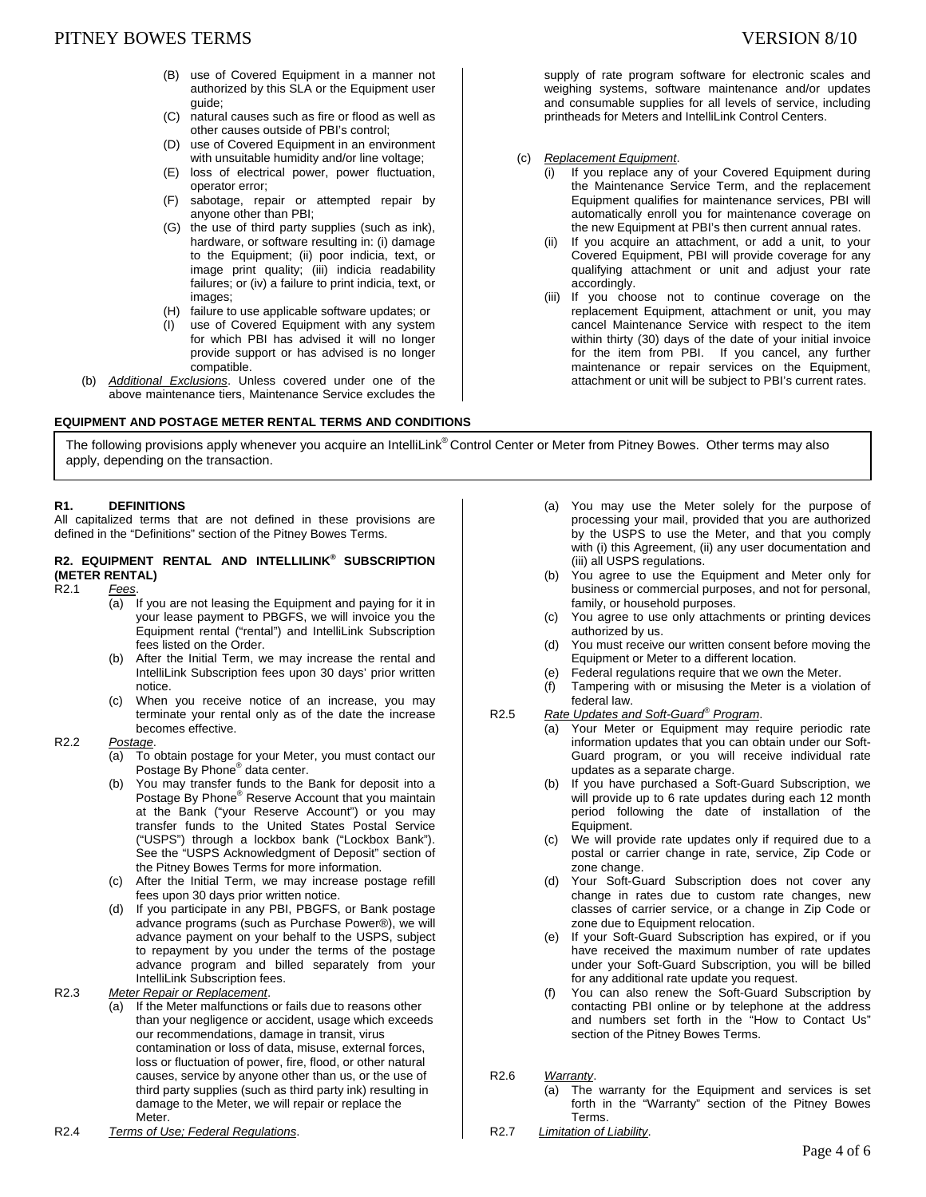- (B) use of Covered Equipment in a manner not authorized by this SLA or the Equipment user guide;
- (C) natural causes such as fire or flood as well as other causes outside of PBI's control;
- (D) use of Covered Equipment in an environment with unsuitable humidity and/or line voltage;
- (E) loss of electrical power, power fluctuation, operator error;
- (F) sabotage, repair or attempted repair by anyone other than PBI;
- (G) the use of third party supplies (such as ink), hardware, or software resulting in: (i) damage to the Equipment; (ii) poor indicia, text, or image print quality; (iii) indicia readability failures; or (iv) a failure to print indicia, text, or images;
- (H) failure to use applicable software updates; or
- (I) use of Covered Equipment with any system for which PBI has advised it will no longer provide support or has advised is no longer compatible.
- (b) *Additional Exclusions*. Unless covered under one of the above maintenance tiers, Maintenance Service excludes the

### **EQUIPMENT AND POSTAGE METER RENTAL TERMS AND CONDITIONS**

supply of rate program software for electronic scales and weighing systems, software maintenance and/or updates and consumable supplies for all levels of service, including printheads for Meters and IntelliLink Control Centers.

- (c) *Replacement Equipment*.
	- (i) If you replace any of your Covered Equipment during the Maintenance Service Term, and the replacement Equipment qualifies for maintenance services, PBI will automatically enroll you for maintenance coverage on the new Equipment at PBI's then current annual rates.
	- (ii) If you acquire an attachment, or add a unit, to your Covered Equipment, PBI will provide coverage for any qualifying attachment or unit and adjust your rate accordingly.
	- (iii) If you choose not to continue coverage on the replacement Equipment, attachment or unit, you may cancel Maintenance Service with respect to the item within thirty (30) days of the date of your initial invoice for the item from PBI. If you cancel, any further maintenance or repair services on the Equipment, attachment or unit will be subject to PBI's current rates.

The following provisions apply whenever you acquire an IntelliLink® Control Center or Meter from Pitney Bowes. Other terms may also apply, depending on the transaction.

### **R1. DEFINITIONS**

All capitalized terms that are not defined in these provisions are defined in the "Definitions" section of the Pitney Bowes Terms.

## **R2. EQUIPMENT RENTAL AND INTELLILINK® SUBSCRIPTION (METER RENTAL)**

- R2.1 *Fees*.
	- (a) If you are not leasing the Equipment and paying for it in your lease payment to PBGFS, we will invoice you the Equipment rental ("rental") and IntelliLink Subscription fees listed on the Order.
	- (b) After the Initial Term, we may increase the rental and IntelliLink Subscription fees upon 30 days' prior written notice.
	- (c) When you receive notice of an increase, you may terminate your rental only as of the date the increase becomes effective.

#### R2.2 *Postage*.

- (a) To obtain postage for your Meter, you must contact our Postage By Phone® data center.
- (b) You may transfer funds to the Bank for deposit into a Postage By Phone<sup>®</sup> Reserve Account that you maintain at the Bank ("your Reserve Account") or you may transfer funds to the United States Postal Service ("USPS") through a lockbox bank ("Lockbox Bank"). See the "USPS Acknowledgment of Deposit" section of the Pitney Bowes Terms for more information.
- (c) After the Initial Term, we may increase postage refill fees upon 30 days prior written notice.
- (d) If you participate in any PBI, PBGFS, or Bank postage advance programs (such as Purchase Power®), we will advance payment on your behalf to the USPS, subject to repayment by you under the terms of the postage advance program and billed separately from your IntelliLink Subscription fees.

R2.3 *Meter Repair or Replacement*.

- (a) If the Meter malfunctions or fails due to reasons other than your negligence or accident, usage which exceeds our recommendations, damage in transit, virus contamination or loss of data, misuse, external forces, loss or fluctuation of power, fire, flood, or other natural causes, service by anyone other than us, or the use of third party supplies (such as third party ink) resulting in damage to the Meter, we will repair or replace the Meter.
- R2.4 *Terms of Use; Federal Regulations*.
- (a) You may use the Meter solely for the purpose of processing your mail, provided that you are authorized by the USPS to use the Meter, and that you comply with (i) this Agreement, (ii) any user documentation and (iii) all USPS regulations.
- (b) You agree to use the Equipment and Meter only for business or commercial purposes, and not for personal, family, or household purposes.
- (c) You agree to use only attachments or printing devices authorized by us.
- (d) You must receive our written consent before moving the Equipment or Meter to a different location.
- (e) Federal regulations require that we own the Meter.
- (f) Tampering with or misusing the Meter is a violation of federal law.
- R2.5 *Rate Updates and Soft-Guard® Program*.
	- (a) Your Meter or Equipment may require periodic rate information updates that you can obtain under our Soft-Guard program, or you will receive individual rate updates as a separate charge.
	- (b) If you have purchased a Soft-Guard Subscription, we will provide up to 6 rate updates during each 12 month period following the date of installation of the Equipment.
	- (c) We will provide rate updates only if required due to a postal or carrier change in rate, service, Zip Code or zone change.
	- (d) Your Soft-Guard Subscription does not cover any change in rates due to custom rate changes, new classes of carrier service, or a change in Zip Code or zone due to Equipment relocation.
	- (e) If your Soft-Guard Subscription has expired, or if you have received the maximum number of rate updates under your Soft-Guard Subscription, you will be billed for any additional rate update you request.
	- (f) You can also renew the Soft-Guard Subscription by contacting PBI online or by telephone at the address and numbers set forth in the "How to Contact Us" section of the Pitney Bowes Terms.
- R2.6 *Warranty*.
	- (a) The warranty for the Equipment and services is set forth in the "Warranty" section of the Pitney Bowes Terms.
- R2.7 *Limitation of Liability*.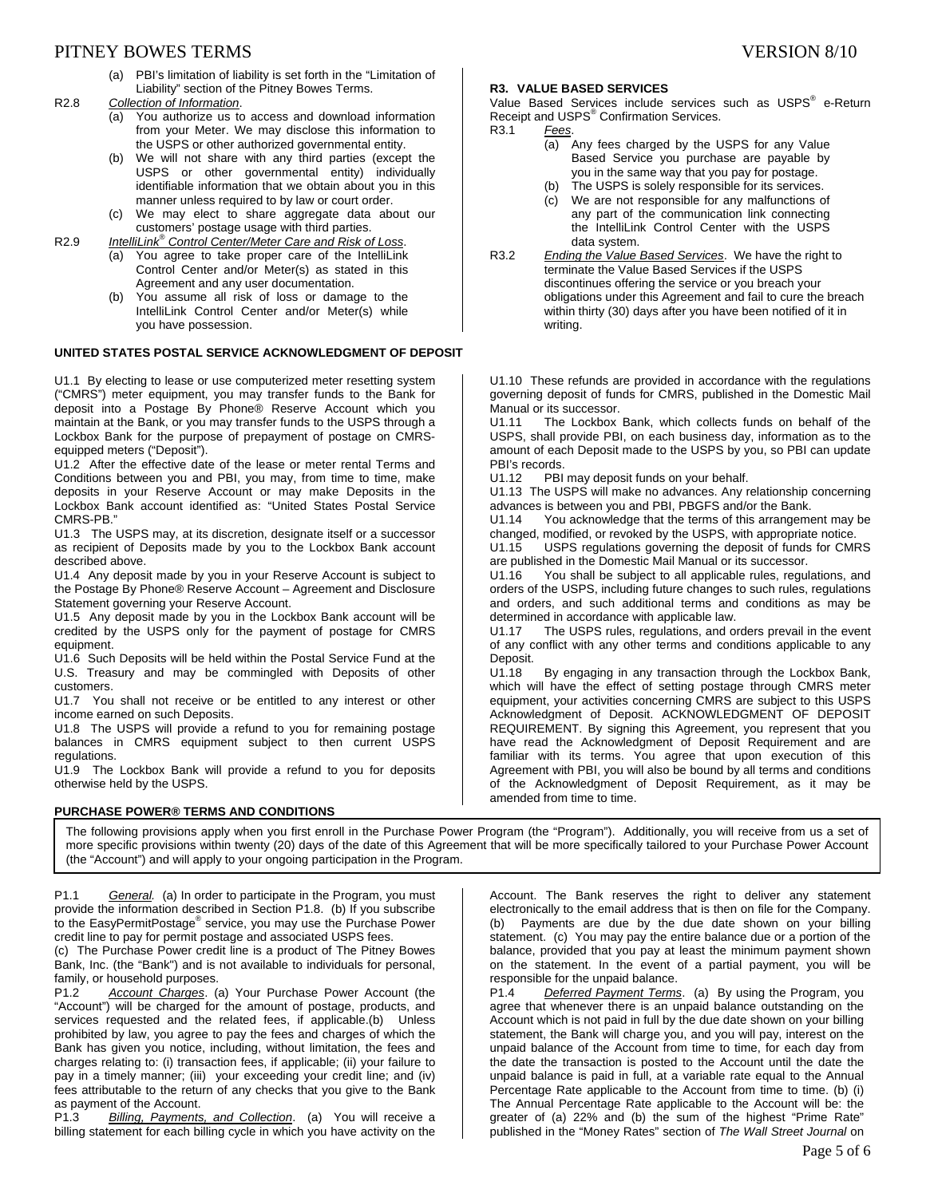## PITNEY BOWES TERMS SERVERS IN THE SERVER SERVERS ON STRUCK AND RESIDENT STRUCK AND RESIDENT STRUCK AND RESIDENT STRUCK AND RESIDENT STRUCK AND RESIDENT STRUCK AND RESIDENT STRUCK AND RESIDENT STRUCK AND RESIDENT STRUCK AND

- (a) PBI's limitation of liability is set forth in the "Limitation of Liability" section of the Pitney Bowes Terms.
- R2.8 *Collection of Information*.
	- (a) You authorize us to access and download information from your Meter. We may disclose this information to the USPS or other authorized governmental entity.
	- (b) We will not share with any third parties (except the USPS or other governmental entity) individually identifiable information that we obtain about you in this manner unless required to by law or court order.
	- (c) We may elect to share aggregate data about our customers' postage usage with third parties.
- R2.9 *IntelliLink® Control Center/Meter Care and Risk of Loss*.
	- (a) You agree to take proper care of the IntelliLink Control Center and/or Meter(s) as stated in this Agreement and any user documentation.
	- (b) You assume all risk of loss or damage to the IntelliLink Control Center and/or Meter(s) while you have possession.

#### **UNITED STATES POSTAL SERVICE ACKNOWLEDGMENT OF DEPOSIT**

U1.1 By electing to lease or use computerized meter resetting system ("CMRS") meter equipment, you may transfer funds to the Bank for deposit into a Postage By Phone® Reserve Account which you maintain at the Bank, or you may transfer funds to the USPS through a Lockbox Bank for the purpose of prepayment of postage on CMRSequipped meters ("Deposit").

U1.2 After the effective date of the lease or meter rental Terms and Conditions between you and PBI, you may, from time to time, make deposits in your Reserve Account or may make Deposits in the Lockbox Bank account identified as: "United States Postal Service CMRS-PB."

U1.3 The USPS may, at its discretion, designate itself or a successor as recipient of Deposits made by you to the Lockbox Bank account described above.

U1.4 Any deposit made by you in your Reserve Account is subject to the Postage By Phone® Reserve Account – Agreement and Disclosure Statement governing your Reserve Account.

U1.5 Any deposit made by you in the Lockbox Bank account will be credited by the USPS only for the payment of postage for CMRS equipment.

U1.6 Such Deposits will be held within the Postal Service Fund at the U.S. Treasury and may be commingled with Deposits of other customers.

U1.7 You shall not receive or be entitled to any interest or other income earned on such Deposits.

U1.8 The USPS will provide a refund to you for remaining postage balances in CMRS equipment subject to then current USPS regulations.

U1.9 The Lockbox Bank will provide a refund to you for deposits otherwise held by the USPS.

#### **PURCHASE POWER® TERMS AND CONDITIONS**

### **R3. VALUE BASED SERVICES**

Value Based Services include services such as USPS<sup>®</sup> e-Return Receipt and USPS® Confirmation Services. R3.1 *Fees*.

- (a) Any fees charged by the USPS for any Value Based Service you purchase are payable by you in the same way that you pay for postage.
- (b) The USPS is solely responsible for its services.<br>(c) We are not responsible for any malfunctions of
- We are not responsible for any malfunctions of any part of the communication link connecting the IntelliLink Control Center with the USPS data system.
- R3.2 *Ending the Value Based Services*. We have the right to terminate the Value Based Services if the USPS discontinues offering the service or you breach your obligations under this Agreement and fail to cure the breach within thirty (30) days after you have been notified of it in writing.

U1.10 These refunds are provided in accordance with the regulations governing deposit of funds for CMRS, published in the Domestic Mail Manual or its successor.<br>U1.11 The Lockbox

The Lockbox Bank, which collects funds on behalf of the USPS, shall provide PBI, on each business day, information as to the amount of each Deposit made to the USPS by you, so PBI can update PBI's records.

U1.12 PBI may deposit funds on your behalf.

U1.13 The USPS will make no advances. Any relationship concerning advances is between you and PBI, PBGFS and/or the Bank.

U1.14 You acknowledge that the terms of this arrangement may be changed, modified, or revoked by the USPS, with appropriate notice.<br>U1.15 USPS regulations governing the deposit of funds for CMF

USPS regulations governing the deposit of funds for CMRS are published in the Domestic Mail Manual or its successor.<br>U1.16 You shall be subject to all applicable rules, regu

You shall be subject to all applicable rules, regulations, and orders of the USPS, including future changes to such rules, regulations and orders, and such additional terms and conditions as may be determined in accordance with applicable law.<br>U1.17 The USPS rules, regulations, and o

The USPS rules, regulations, and orders prevail in the event of any conflict with any other terms and conditions applicable to any Deposit.<br>U1.18

By engaging in any transaction through the Lockbox Bank, which will have the effect of setting postage through CMRS meter equipment, your activities concerning CMRS are subject to this USPS Acknowledgment of Deposit. ACKNOWLEDGMENT OF DEPOSIT REQUIREMENT. By signing this Agreement, you represent that you have read the Acknowledgment of Deposit Requirement and are familiar with its terms. You agree that upon execution of this Agreement with PBI, you will also be bound by all terms and conditions of the Acknowledgment of Deposit Requirement, as it may be amended from time to time.

The following provisions apply when you first enroll in the Purchase Power Program (the "Program"). Additionally, you will receive from us a set of more specific provisions within twenty (20) days of the date of this Agreement that will be more specifically tailored to your Purchase Power Account (the "Account") and will apply to your ongoing participation in the Program.

P1.1 *General.* (a) In order to participate in the Program, you must provide the information described in Section P1.8. (b) If you subscribe to the EasyPermitPostage® service, you may use the Purchase Power credit line to pay for permit postage and associated USPS fees.

(c) The Purchase Power credit line is a product of The Pitney Bowes Bank, Inc. (the "Bank") and is not available to individuals for personal, family, or household purposes.

P1.2 *Account Charges*. (a) Your Purchase Power Account (the "Account") will be charged for the amount of postage, products, and services requested and the related fees, if applicable.(b) Unless prohibited by law, you agree to pay the fees and charges of which the Bank has given you notice, including, without limitation, the fees and charges relating to: (i) transaction fees, if applicable; (ii) your failure to pay in a timely manner; (iii) your exceeding your credit line; and (iv) fees attributable to the return of any checks that you give to the Bank as payment of the Account.

P1.3 *Billing, Payments, and Collection*. (a) You will receive a billing statement for each billing cycle in which you have activity on the

Account. The Bank reserves the right to deliver any statement electronically to the email address that is then on file for the Company. (b) Payments are due by the due date shown on your billing statement. (c) You may pay the entire balance due or a portion of the balance, provided that you pay at least the minimum payment shown on the statement. In the event of a partial payment, you will be responsible for the unpaid balance.

P1.4 *Deferred Payment Terms*. (a) By using the Program, you agree that whenever there is an unpaid balance outstanding on the Account which is not paid in full by the due date shown on your billing statement, the Bank will charge you, and you will pay, interest on the unpaid balance of the Account from time to time, for each day from the date the transaction is posted to the Account until the date the unpaid balance is paid in full, at a variable rate equal to the Annual Percentage Rate applicable to the Account from time to time. (b) (i) The Annual Percentage Rate applicable to the Account will be: the greater of (a) 22% and (b) the sum of the highest "Prime Rate" published in the "Money Rates" section of *The Wall Street Journal* on